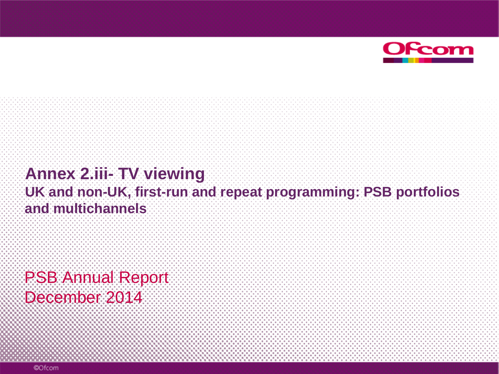

#### **Annex 2.iii- TV viewing UK and non-UK, first-run and repeat programming: PSB portfolios and multichannels**

PSB Annual Report December 2014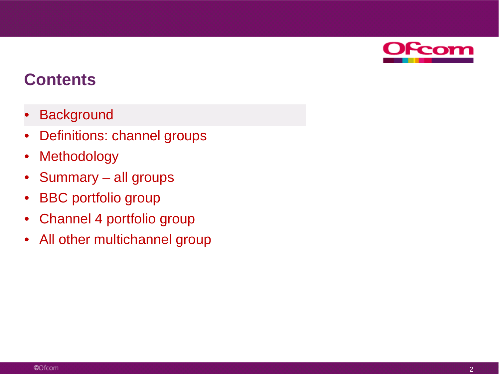

- **Background**
- Definitions: channel groups
- Methodology
- Summary all groups
- BBC portfolio group
- Channel 4 portfolio group
- All other multichannel group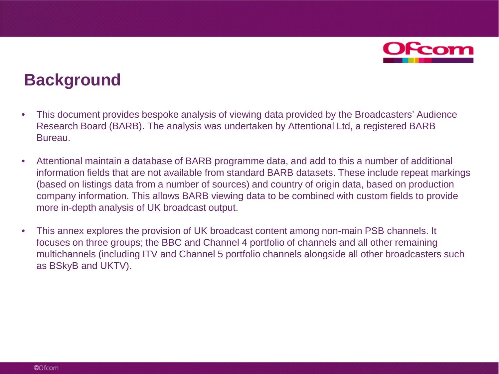

## **Background**

- This document provides bespoke analysis of viewing data provided by the Broadcasters' Audience Research Board (BARB). The analysis was undertaken by Attentional Ltd, a registered BARB Bureau.
- Attentional maintain a database of BARB programme data, and add to this a number of additional information fields that are not available from standard BARB datasets. These include repeat markings (based on listings data from a number of sources) and country of origin data, based on production company information. This allows BARB viewing data to be combined with custom fields to provide more in-depth analysis of UK broadcast output.
- This annex explores the provision of UK broadcast content among non-main PSB channels. It focuses on three groups; the BBC and Channel 4 portfolio of channels and all other remaining multichannels (including ITV and Channel 5 portfolio channels alongside all other broadcasters such as BSkyB and UKTV).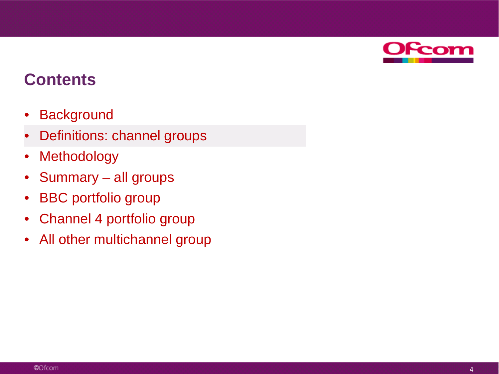

- **Background**
- Definitions: channel groups
- **Methodology**
- Summary all groups
- BBC portfolio group
- Channel 4 portfolio group
- All other multichannel group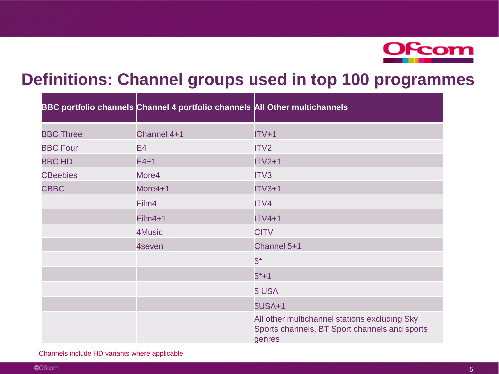

## **Definitions: Channel groups used in top 100 programmes**

|                  | BBC portfolio channels Channel 4 portfolio channels All Other multichannels |                                                                                                          |
|------------------|-----------------------------------------------------------------------------|----------------------------------------------------------------------------------------------------------|
| <b>BBC Three</b> | Channel 4+1                                                                 | $ITV+1$                                                                                                  |
| <b>BBC Four</b>  | E4                                                                          | ITV <sub>2</sub>                                                                                         |
| <b>BBC HD</b>    | $E4+1$                                                                      | $ITV2+1$                                                                                                 |
| <b>CBeebies</b>  | More4                                                                       | ITV3                                                                                                     |
| <b>CBBC</b>      | More4+1                                                                     | $ITV3+1$                                                                                                 |
|                  | Film4                                                                       | ITV4                                                                                                     |
|                  | $Film4+1$                                                                   | $ITV4+1$                                                                                                 |
|                  | 4Music                                                                      | <b>CITV</b>                                                                                              |
|                  | 4seven                                                                      | Channel 5+1                                                                                              |
|                  |                                                                             | $5*$                                                                                                     |
|                  |                                                                             | $5*+1$                                                                                                   |
|                  |                                                                             | 5 USA                                                                                                    |
|                  |                                                                             | <b>5USA+1</b>                                                                                            |
|                  |                                                                             | All other multichannel stations excluding Sky<br>Sports channels, BT Sport channels and sports<br>genres |

Channels include HD variants where applicable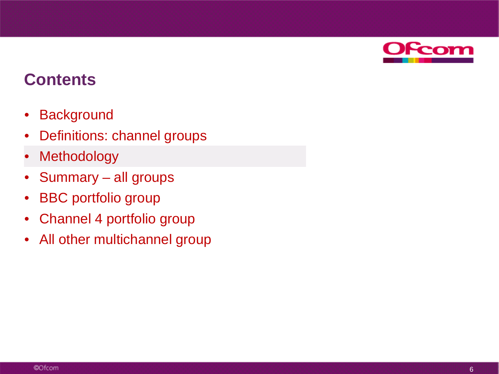

- Background
- Definitions: channel groups
- **Methodology**
- Summary all groups
- BBC portfolio group
- Channel 4 portfolio group
- All other multichannel group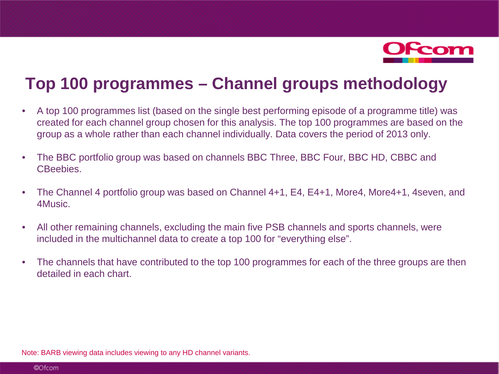

## **Top 100 programmes – Channel groups methodology**

- A top 100 programmes list (based on the single best performing episode of a programme title) was created for each channel group chosen for this analysis. The top 100 programmes are based on the group as a whole rather than each channel individually. Data covers the period of 2013 only.
- The BBC portfolio group was based on channels BBC Three, BBC Four, BBC HD, CBBC and CBeebies.
- The Channel 4 portfolio group was based on Channel 4+1, E4, E4+1, More4, More4+1, 4seven, and 4Music.
- All other remaining channels, excluding the main five PSB channels and sports channels, were included in the multichannel data to create a top 100 for "everything else".
- The channels that have contributed to the top 100 programmes for each of the three groups are then detailed in each chart.

Note: BARB viewing data includes viewing to any HD channel variants.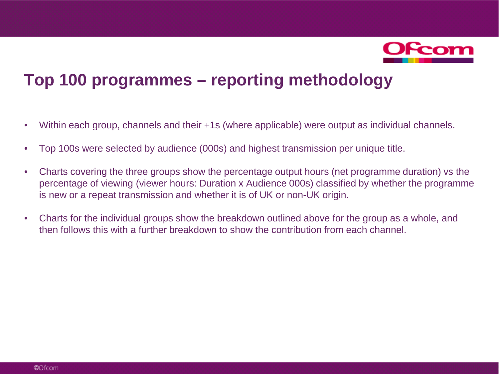

## **Top 100 programmes – reporting methodology**

- Within each group, channels and their +1s (where applicable) were output as individual channels.
- Top 100s were selected by audience (000s) and highest transmission per unique title.
- Charts covering the three groups show the percentage output hours (net programme duration) vs the percentage of viewing (viewer hours: Duration x Audience 000s) classified by whether the programme is new or a repeat transmission and whether it is of UK or non-UK origin.
- Charts for the individual groups show the breakdown outlined above for the group as a whole, and then follows this with a further breakdown to show the contribution from each channel.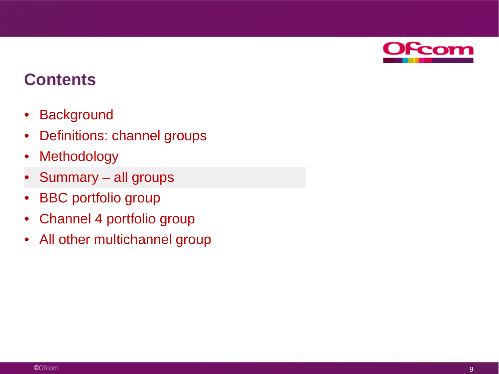

- Background
- Definitions: channel groups
- **Methodology**
- Summary all groups
- BBC portfolio group
- Channel 4 portfolio group
- All other multichannel group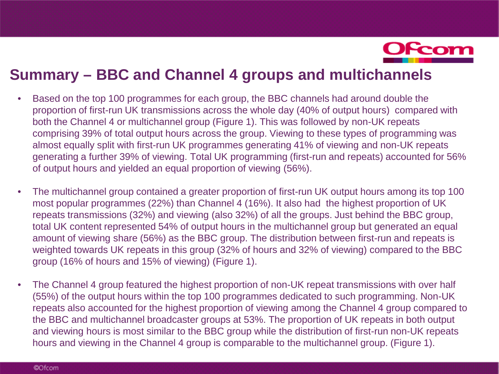

#### **Summary – BBC and Channel 4 groups and multichannels**

- Based on the top 100 programmes for each group, the BBC channels had around double the proportion of first-run UK transmissions across the whole day (40% of output hours) compared with both the Channel 4 or multichannel group (Figure 1). This was followed by non-UK repeats comprising 39% of total output hours across the group. Viewing to these types of programming was almost equally split with first-run UK programmes generating 41% of viewing and non-UK repeats generating a further 39% of viewing. Total UK programming (first-run and repeats) accounted for 56% of output hours and yielded an equal proportion of viewing (56%).
- The multichannel group contained a greater proportion of first-run UK output hours among its top 100 most popular programmes (22%) than Channel 4 (16%). It also had the highest proportion of UK repeats transmissions (32%) and viewing (also 32%) of all the groups. Just behind the BBC group, total UK content represented 54% of output hours in the multichannel group but generated an equal amount of viewing share (56%) as the BBC group. The distribution between first-run and repeats is weighted towards UK repeats in this group (32% of hours and 32% of viewing) compared to the BBC group (16% of hours and 15% of viewing) (Figure 1).
- The Channel 4 group featured the highest proportion of non-UK repeat transmissions with over half (55%) of the output hours within the top 100 programmes dedicated to such programming. Non-UK repeats also accounted for the highest proportion of viewing among the Channel 4 group compared to the BBC and multichannel broadcaster groups at 53%. The proportion of UK repeats in both output and viewing hours is most similar to the BBC group while the distribution of first-run non-UK repeats hours and viewing in the Channel 4 group is comparable to the multichannel group. (Figure 1).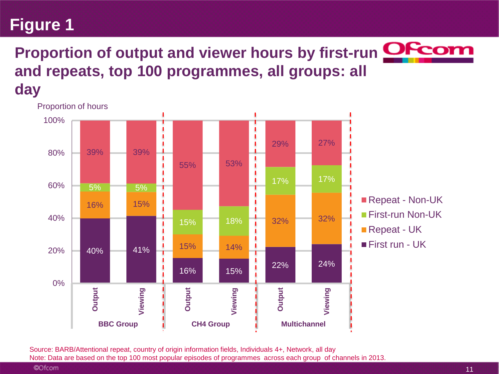## **Proportion of output and viewer hours by first-run <b>OFcom and repeats, top 100 programmes, all groups: all day**



Source: BARB/Attentional repeat, country of origin information fields, Individuals 4+, Network, all day Note: Data are based on the top 100 most popular episodes of programmes across each group of channels in 2013.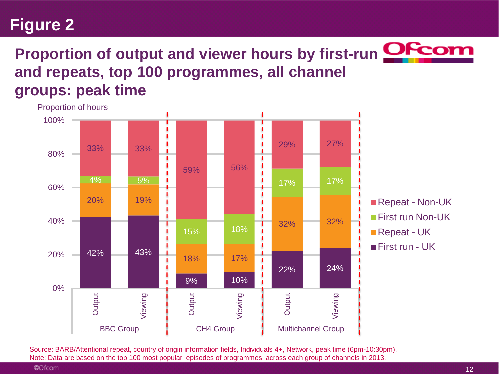## **Proportion of output and viewer hours by first-run <b>OFcot and repeats, top 100 programmes, all channel groups: peak time**



Source: BARB/Attentional repeat, country of origin information fields, Individuals 4+, Network, peak time (6pm-10:30pm). Note: Data are based on the top 100 most popular episodes of programmes across each group of channels in 2013.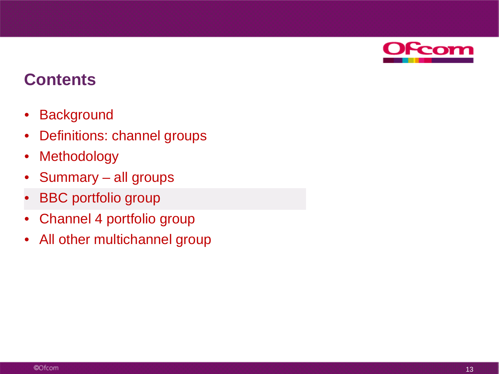

- Background
- Definitions: channel groups
- Methodology
- Summary all groups
- **BBC** portfolio group
- Channel 4 portfolio group
- All other multichannel group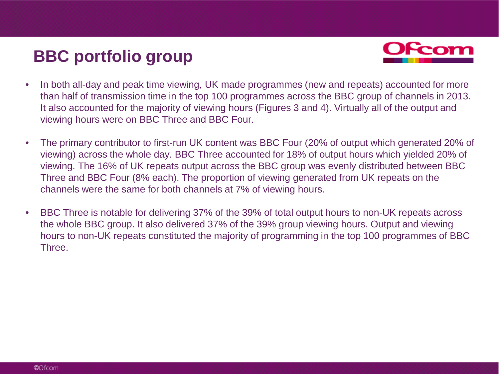## **BBC portfolio group**



- In both all-day and peak time viewing, UK made programmes (new and repeats) accounted for more than half of transmission time in the top 100 programmes across the BBC group of channels in 2013. It also accounted for the majority of viewing hours (Figures 3 and 4). Virtually all of the output and viewing hours were on BBC Three and BBC Four.
- The primary contributor to first-run UK content was BBC Four (20% of output which generated 20% of viewing) across the whole day. BBC Three accounted for 18% of output hours which yielded 20% of viewing. The 16% of UK repeats output across the BBC group was evenly distributed between BBC Three and BBC Four (8% each). The proportion of viewing generated from UK repeats on the channels were the same for both channels at 7% of viewing hours.
- BBC Three is notable for delivering 37% of the 39% of total output hours to non-UK repeats across the whole BBC group. It also delivered 37% of the 39% group viewing hours. Output and viewing hours to non-UK repeats constituted the majority of programming in the top 100 programmes of BBC Three.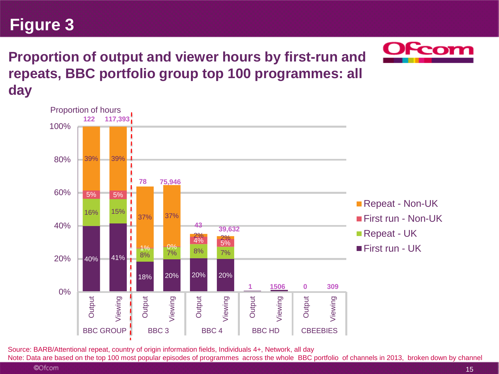**Proportion of output and viewer hours by first-run and repeats, BBC portfolio group top 100 programmes: all day**



Source: BARB/Attentional repeat, country of origin information fields, Individuals 4+, Network, all day

Note: Data are based on the top 100 most popular episodes of programmes across the whole BBC portfolio of channels in 2013, broken down by channel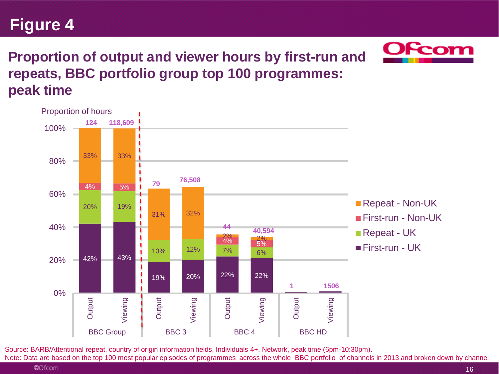

#### **Proportion of output and viewer hours by first-run and repeats, BBC portfolio group top 100 programmes: peak time**



Source: BARB/Attentional repeat, country of origin information fields, Individuals 4+, Network, peak time (6pm-10:30pm). Note: Data are based on the top 100 most popular episodes of programmes across the whole BBC portfolio of channels in 2013 and broken down by channel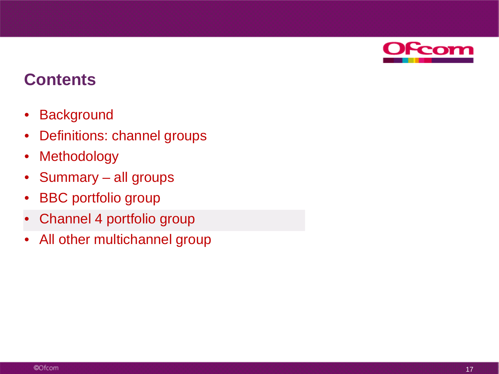

- Background
- Definitions: channel groups
- Methodology
- Summary all groups
- BBC portfolio group
- Channel 4 portfolio group
- All other multichannel group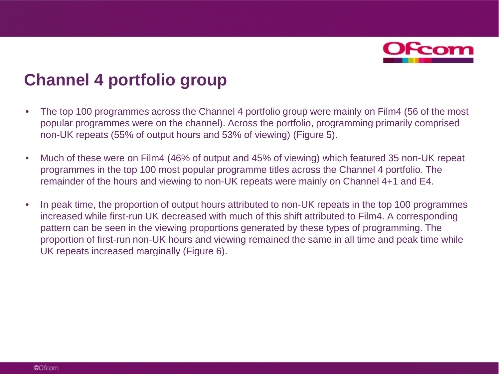

## **Channel 4 portfolio group**

- The top 100 programmes across the Channel 4 portfolio group were mainly on Film4 (56 of the most popular programmes were on the channel). Across the portfolio, programming primarily comprised non-UK repeats (55% of output hours and 53% of viewing) (Figure 5).
- Much of these were on Film4 (46% of output and 45% of viewing) which featured 35 non-UK repeat programmes in the top 100 most popular programme titles across the Channel 4 portfolio. The remainder of the hours and viewing to non-UK repeats were mainly on Channel 4+1 and E4.
- In peak time, the proportion of output hours attributed to non-UK repeats in the top 100 programmes increased while first-run UK decreased with much of this shift attributed to Film4. A corresponding pattern can be seen in the viewing proportions generated by these types of programming. The proportion of first-run non-UK hours and viewing remained the same in all time and peak time while UK repeats increased marginally (Figure 6).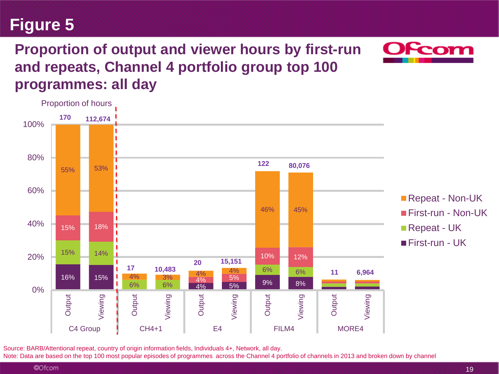#### Source: BARB/Attentional repeat, country of origin information fields, Individuals 4+, Network, all day.

Note: Data are based on the top 100 most popular episodes of programmes across the Channel 4 portfolio of channels in 2013 and broken down by channel

# **Figure 5**

## **Proportion of output and viewer hours by first-run and repeats, Channel 4 portfolio group top 100 programmes: all day**

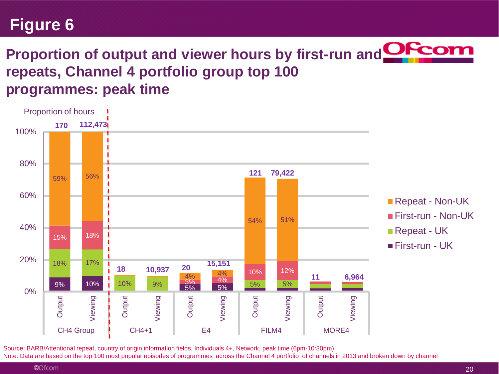## Proportion of output and viewer hours by first-run and **OFcot repeats, Channel 4 portfolio group top 100 programmes: peak time**



Source: BARB/Attentional repeat, country of origin information fields, Individuals 4+, Network, peak time (6pm-10:30pm). Note: Data are based on the top 100 most popular episodes of programmes across the Channel 4 portfolio of channels in 2013 and broken down by channel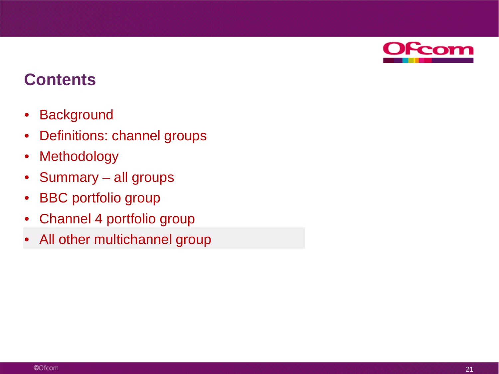

- Background
- Definitions: channel groups
- Methodology
- Summary all groups
- BBC portfolio group
- Channel 4 portfolio group
- All other multichannel group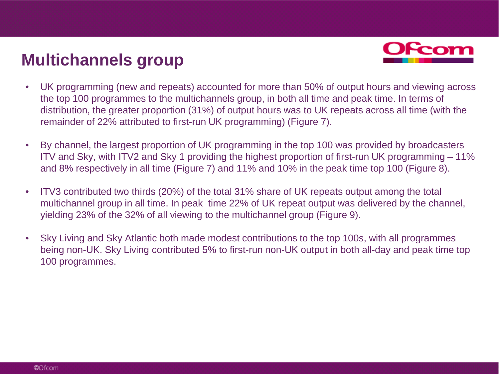## **Multichannels group**



- UK programming (new and repeats) accounted for more than 50% of output hours and viewing across the top 100 programmes to the multichannels group, in both all time and peak time. In terms of distribution, the greater proportion (31%) of output hours was to UK repeats across all time (with the remainder of 22% attributed to first-run UK programming) (Figure 7).
- By channel, the largest proportion of UK programming in the top 100 was provided by broadcasters ITV and Sky, with ITV2 and Sky 1 providing the highest proportion of first-run UK programming – 11% and 8% respectively in all time (Figure 7) and 11% and 10% in the peak time top 100 (Figure 8).
- ITV3 contributed two thirds (20%) of the total 31% share of UK repeats output among the total multichannel group in all time. In peak time 22% of UK repeat output was delivered by the channel, yielding 23% of the 32% of all viewing to the multichannel group (Figure 9).
- Sky Living and Sky Atlantic both made modest contributions to the top 100s, with all programmes being non-UK. Sky Living contributed 5% to first-run non-UK output in both all-day and peak time top 100 programmes.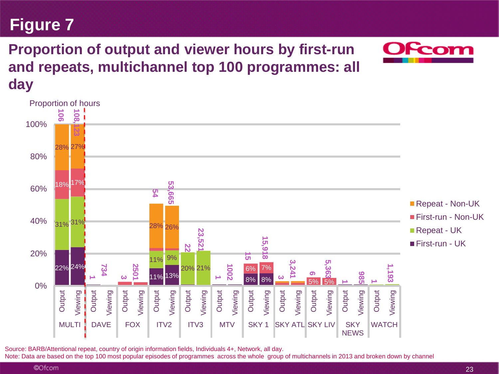## **Proportion of output and viewer hours by first-run and repeats, multichannel top 100 programmes: all day**



Source: BARB/Attentional repeat, country of origin information fields, Individuals 4+, Network, all day.

Note: Data are based on the top 100 most popular episodes of programmes across the whole group of multichannels in 2013 and broken down by channel

**Figure 7**

**Fcon**